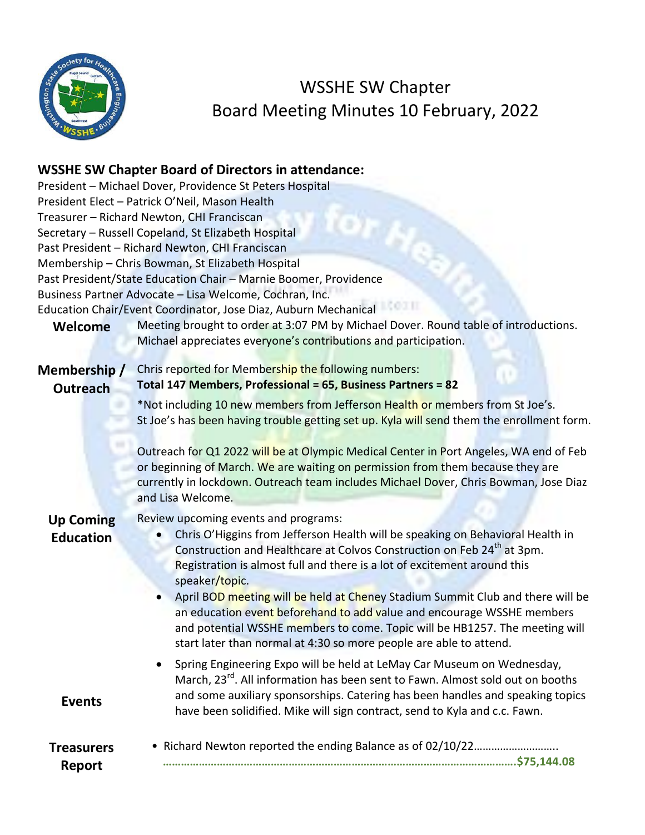

WSSHE SW Chapter Board Meeting Minutes 10 February, 2022

## **WSSHE SW Chapter Board of Directors in attendance:**

| Welcome                              | President - Michael Dover, Providence St Peters Hospital<br>President Elect - Patrick O'Neil, Mason Health<br>Treasurer - Richard Newton, CHI Franciscan<br>Secretary - Russell Copeland, St Elizabeth Hospital<br>Past President - Richard Newton, CHI Franciscan<br>Membership - Chris Bowman, St Elizabeth Hospital<br>Past President/State Education Chair - Marnie Boomer, Providence<br>Business Partner Advocate - Lisa Welcome, Cochran, Inc.<br>Education Chair/Event Coordinator, Jose Diaz, Auburn Mechanical<br>Meeting brought to order at 3:07 PM by Michael Dover. Round table of introductions.<br>Michael appreciates everyone's contributions and participation. |
|--------------------------------------|------------------------------------------------------------------------------------------------------------------------------------------------------------------------------------------------------------------------------------------------------------------------------------------------------------------------------------------------------------------------------------------------------------------------------------------------------------------------------------------------------------------------------------------------------------------------------------------------------------------------------------------------------------------------------------|
| Membership/<br><b>Outreach</b>       | Chris reported for Membership the following numbers:<br>Total 147 Members, Professional = 65, Business Partners = 82<br>*Not including 10 new members from Jefferson Health or members from St Joe's.<br>St Joe's has been having trouble getting set up. Kyla will send them the enrollment form.<br>Outreach for Q1 2022 will be at Olympic Medical Center in Port Angeles, WA end of Feb<br>or beginning of March. We are waiting on permission from them because they are<br>currently in lockdown. Outreach team includes Michael Dover, Chris Bowman, Jose Diaz<br>and Lisa Welcome.                                                                                         |
| <b>Up Coming</b><br><b>Education</b> | Review upcoming events and programs:<br>Chris O'Higgins from Jefferson Health will be speaking on Behavioral Health in<br>Construction and Healthcare at Colvos Construction on Feb 24 <sup>th</sup> at 3pm.<br>Registration is almost full and there is a lot of excitement around this<br>speaker/topic.<br>April BOD meeting will be held at Cheney Stadium Summit Club and there will be<br>an education event beforehand to add value and encourage WSSHE members<br>and potential WSSHE members to come. Topic will be HB1257. The meeting will<br>start later than normal at 4:30 so more people are able to attend.                                                        |
| <b>Events</b>                        | Spring Engineering Expo will be held at LeMay Car Museum on Wednesday,<br>March, 23 <sup>rd</sup> . All information has been sent to Fawn. Almost sold out on booths<br>and some auxiliary sponsorships. Catering has been handles and speaking topics<br>have been solidified. Mike will sign contract, send to Kyla and c.c. Fawn.                                                                                                                                                                                                                                                                                                                                               |
| <b>Treasurers</b><br><b>Report</b>   |                                                                                                                                                                                                                                                                                                                                                                                                                                                                                                                                                                                                                                                                                    |